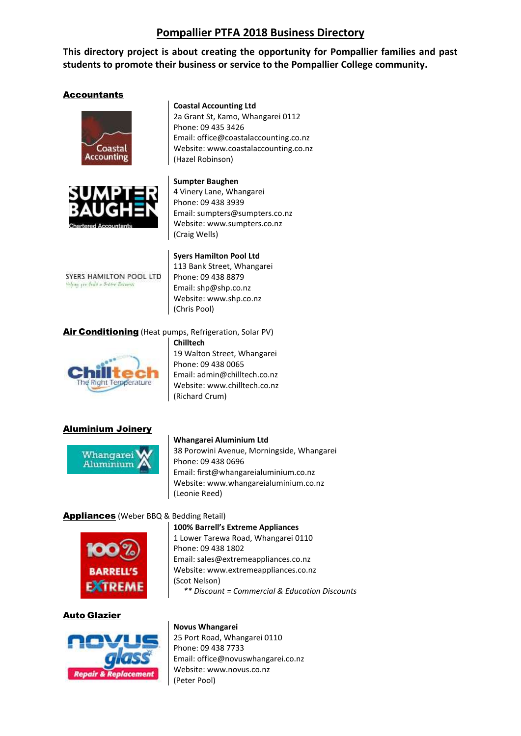# **Pompallier PTFA 2018 Business Directory**

**This directory project is about creating the opportunity for Pompallier families and past students to promote their business or service to the Pompallier College community.** 

# Accountants





#### **Coastal Accounting Ltd**

2a Grant St, Kamo, Whangarei 0112 Phone: 09 435 3426 Email: [office@coastalaccounting.co.nz](mailto:office@coastalaccounting.co.nz) Website: [www.coastalaccounting.co.nz](http://www.coastalaccounting.co.nz/) (Hazel Robinson)

#### **Sumpter Baughen**

4 Vinery Lane, Whangarei Phone: 09 438 3939 Email[: sumpters@sumpters.co.nz](mailto:sumpters@sumpters.co.nz) Website: [www.sumpters.co.nz](http://www.sumpters.co.nz/) (Craig Wells)

SYERS HAMILTON POOL LTD When you fails - Setter Barness

**Syers Hamilton Pool Ltd** 113 Bank Street, Whangarei Phone: 09 438 8879 Email[: shp@shp.co.nz](mailto:shp@shp.co.nz) Website: [www.shp.co.nz](http://www.shp.co.nz/) (Chris Pool)

# Air Conditioning (Heat pumps, Refrigeration, Solar PV)



**Chilltech** 19 Walton Street, Whangarei Phone: 09 438 0065 Email[: admin@chilltech.co.nz](mailto:admin@chilltech.co.nz) Website: www.chilltech.co.nz (Richard Crum)

## Aluminium Joinery



#### **Whangarei Aluminium Ltd**

38 Porowini Avenue, Morningside, Whangarei Phone: 09 438 0696 Email[: first@whangareialuminium.co.nz](mailto:first@whangareialuminium.co.nz) Website: [www.whangareialuminium.co.nz](http://www.whangareialuminium.co.nz/) (Leonie Reed)

## Appliances (Weber BBQ & Bedding Retail)



#### **100% Barrell's Extreme Appliances**

1 Lower Tarewa Road, Whangarei 0110 Phone: 09 438 1802 Email[: sales@extremeappliances.co.nz](mailto:sales@extremeappliances.co.nz) Website: [www.extremeappliances.co.nz](http://www.extremeappliances.co.nz/) (Scot Nelson) *\*\* Discount = Commercial & Education Discounts*

#### Auto Glazier



#### **Novus Whangarei**

25 Port Road, Whangarei 0110 Phone: 09 438 7733 Email: [office@novuswhangarei.co.nz](mailto:office@novuswhangarei.co.nz) Website: [www.novus.co.nz](http://www.novus.co.nz/) (Peter Pool)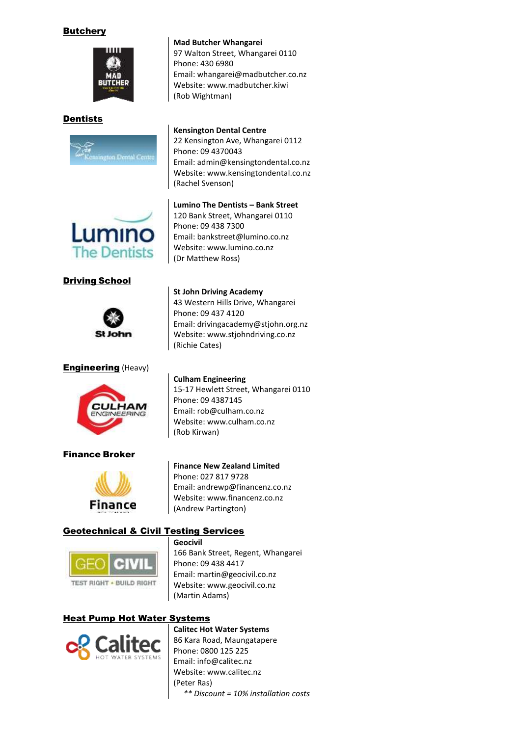# **Butchery**



# Dentists



# **Kensington Dental Centre**

**Mad Butcher Whangarei**

Phone: 430 6980

(Rob Wightman)

97 Walton Street, Whangarei 0110

Email[: whangarei@madbutcher.co.nz](mailto:whangarei@madbutcher.co.nz) Website: [www.madbutcher.kiwi](http://www.madbutcher.kiwi/)

22 Kensington Ave, Whangarei 0112 Phone: 09 4370043 Email[: admin@kensingtondental.co.nz](mailto:admin@kensingtondental.co.nz) Website: [www.kensingtondental.co.nz](http://www.kensingtondental.co.nz/) (Rachel Svenson)



# Driving School



# **Engineering** (Heavy)



# Finance Broker



## **Finance New Zealand Limited**

Phone: 027 817 9728 Email[: andrewp@financenz.co.nz](mailto:andrewp@financenz.co.nz) Website: [www.financenz.co.nz](http://www.financenz.co.nz/) (Andrew Partington)

# Geotechnical & Civil Testing Services



**Geocivil**

166 Bank Street, Regent, Whangarei Phone: 09 438 4417 Email[: martin@geocivil.co.nz](mailto:martin@geocivil.co.nz) Website: www.geocivil.co.nz (Martin Adams)

# Heat Pump Hot Water Systems



**Calitec Hot Water Systems** 86 Kara Road, Maungatapere Phone: 0800 125 225 Email[: info@calitec.nz](mailto:info@calitec.nz) Website: [www.calitec.nz](http://www.calitec.nz/) (Peter Ras) *\*\* Discount = 10% installation costs*

# **Lumino The Dentists – Bank Street**

120 Bank Street, Whangarei 0110 Phone: 09 438 7300 Email: [bankstreet@lumino.co.nz](mailto:bankstreet@lumino.co.nz) Website: [www.lumino.co.nz](http://www.lumino.co.nz/) (Dr Matthew Ross)

#### **St John Driving Academy**

43 Western Hills Drive, Whangarei Phone: 09 437 4120 Email[: drivingacademy@stjohn.org.nz](mailto:drivingacademy@stjohn.org.nz) Website: [www.stjohndriving.co.nz](http://www.stjohndriving.co.nz/) (Richie Cates)

# **Culham Engineering**

15-17 Hewlett Street, Whangarei 0110 Phone: 09 4387145 Email[: rob@culham.co.nz](mailto:rob@culham.co.nz) Website: [www.culham.co.nz](http://www.culham.co.nz/) (Rob Kirwan)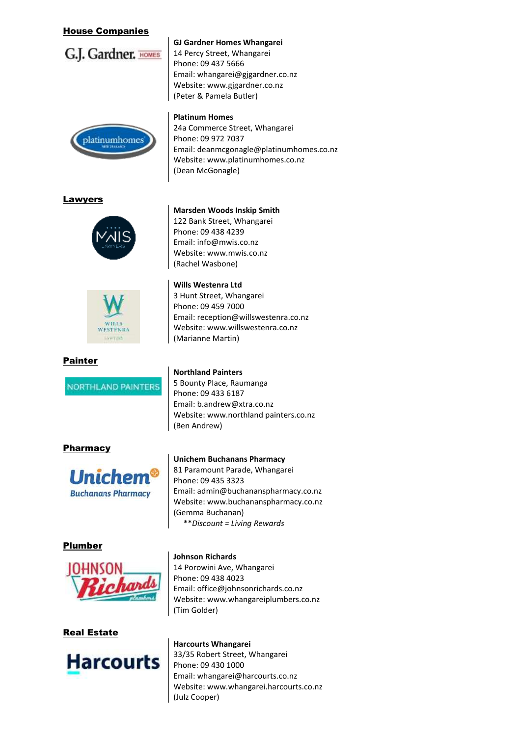# House Companies



#### **GJ Gardner Homes Whangarei**

14 Percy Street, Whangarei Phone: 09 437 5666 Email[: whangarei@gjgardner.co.nz](mailto:whangarei@gjgardner.co.nz) Website: [www.gjgardner.co.nz](http://www.gjgardner.co.nz/) (Peter & Pamela Butler)



#### **Platinum Homes**

24a Commerce Street, Whangarei Phone: 09 972 7037 Email[: deanmcgonagle@platinumhomes.co.nz](mailto:deanmcgonagle@platinumhomes.co.nz) Website: [www.platinumhomes.co.nz](http://www.platinumhomes.co.nz/) (Dean McGonagle)

## **Lawyers**



# Painter

**NORTHLAND PAINTERS** 

## Pharmacy



## Plumber



## Real Estate



## **Marsden Woods Inskip Smith**

122 Bank Street, Whangarei Phone: 09 438 4239 Email[: info@mwis.co.nz](mailto:info@mwis.co.nz) Website: [www.mwis.co.nz](http://www.mwis.co.nz/) (Rachel Wasbone)

**Wills Westenra Ltd**

3 Hunt Street, Whangarei Phone: 09 459 7000 Email[: reception@willswestenra.co.nz](mailto:reception@willswestenra.co.nz) Website: www.willswestenra.co.nz (Marianne Martin)

#### **Northland Painters**

5 Bounty Place, Raumanga Phone: 09 433 6187 Email[: b.andrew@xtra.co.nz](mailto:b.andrew@xtra.co.nz) Website: www.northland painters.co.nz (Ben Andrew)

#### **Unichem Buchanans Pharmacy**

81 Paramount Parade, Whangarei Phone: 09 435 3323 Email[: admin@buchananspharmacy.co.nz](mailto:admin@buchananspharmacy.co.nz) Website: [www.buchananspharmacy.co.nz](http://www.buchananspharmacy.co.nz/) (Gemma Buchanan) \*\**Discount = Living Rewards*

#### **Johnson Richards**

14 Porowini Ave, Whangarei Phone: 09 438 4023 Email[: office@johnsonrichards.co.nz](mailto:office@johnsonrichards.co.nz) Website: [www.whangareiplumbers.co.nz](http://www.whangareiplumbers.co.nz/) (Tim Golder)

**Harcourts Whangarei** 33/35 Robert Street, Whangarei Phone: 09 430 1000 Email[: whangarei@harcourts.co.nz](mailto:whangarei@harcourts.co.nz) Website: [www.whangarei.harcourts.co.nz](http://www.whangarei.harcourts.co.nz/) (Julz Cooper)